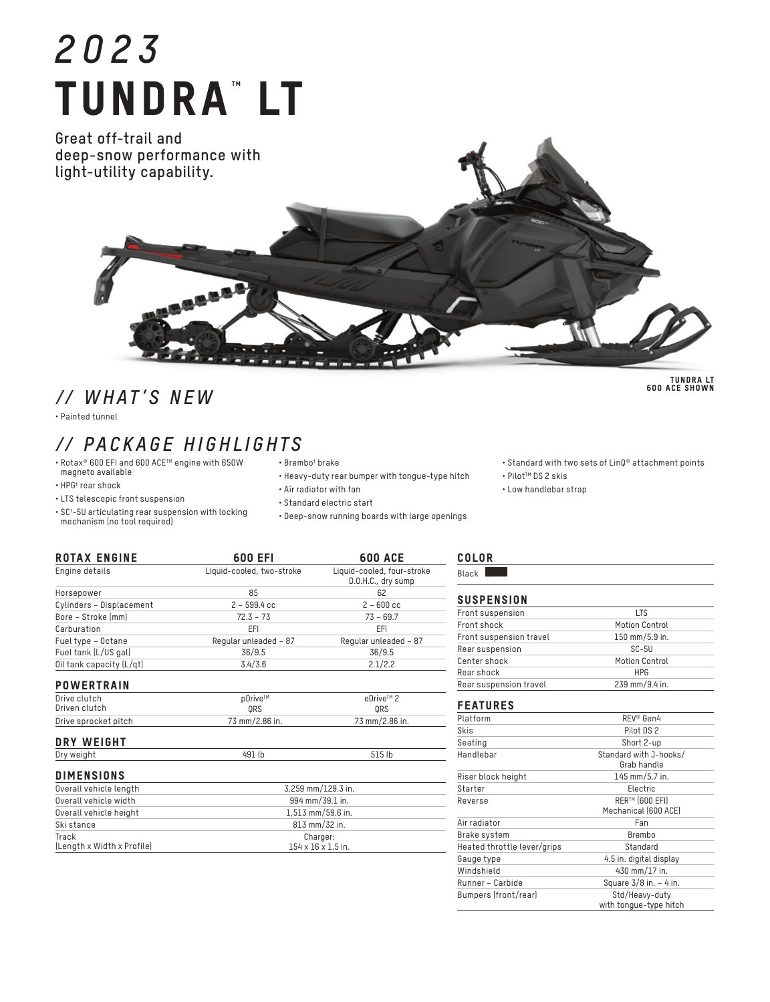# *2023* **TUNDRA" LT**

**Great off-trail and deep-snow performance with light-utility capability.**

## *// WHAT'S NEW*

• Painted tunnel

## *// PACKAGE HIGHLIGHTS*

- Rotax® 600 EFI and 600 ACE™ engine with 650W<br>magneto available
- HPG† rear shock
- LTS telescopic front suspension
- SC† -5U articulating rear suspension with locking mechanism (no tool required)
- Brembo† brake
	- Heavy-duty rear bumper with tongue-type hitch
	- Air radiator with fan
	- Standard electric start
	- Deep-snow running boards with large openings

| KUIAA ENUINE                  | OUU EFI                   | <b>DUU ALE</b>                                   |
|-------------------------------|---------------------------|--------------------------------------------------|
| Engine details                | Liquid-cooled, two-stroke | Liquid-cooled, four-stroke<br>D.O.H.C., dry sump |
| Horsepower                    | 85                        | 62                                               |
| Cylinders - Displacement      | $2 - 599.4$ cc            | $2 - 600$ cc                                     |
| Bore - Stroke (mm)            | $72.3 - 73$               | $73 - 69.7$                                      |
| Carburation                   | EFI                       | EFI                                              |
| Fuel type - Octane            | Regular unleaded - 87     | Regular unleaded - 87                            |
| Fuel tank (L/US gal)          | 36/9.5                    | 36/9.5                                           |
| Oil tank capacity (L/qt)      | 3.4/3.6                   | 2.1/2.2                                          |
| <b>POWERTRAIN</b>             |                           |                                                  |
| Drive clutch<br>Driven clutch | pDrive™<br>ORS            | eDrive™ 2<br>ORS                                 |
| Drive sprocket pitch          | 73 mm/2.86 in.            | 73 mm/2.86 in.                                   |
| DRY WEIGHT                    |                           |                                                  |
| Dry weight                    | 491 lb                    | 515 lb                                           |

ROTAX ENGINE 600 EFI 600 ACE

| <b>DIMENSIONS</b> |  |  |  |
|-------------------|--|--|--|
|-------------------|--|--|--|

| Overall vehicle length              | 3.259 mm/129.3 in.                         |  |
|-------------------------------------|--------------------------------------------|--|
| Overall vehicle width               | 994 mm/39.1 in.                            |  |
| Overall vehicle height              | 1.513 mm/59.6 in.                          |  |
| Ski stance                          | 813 mm/32 in.                              |  |
| Track<br>(Length x Width x Profile) | Charger:<br>$154 \times 16 \times 1.5$ in. |  |

| L<br>е.<br>К |  |
|--------------|--|
| ↙<br>196     |  |

• PilotTM DS 2 skis • Low handlebar strap

| Front suspension        | LTS                   |
|-------------------------|-----------------------|
| Front shock             | <b>Motion Control</b> |
| Front suspension travel | 150 mm/5.9 in.        |
| Rear suspension         | $SC-5U$               |
| Center shock            | <b>Motion Control</b> |
| Rear shock              | <b>HPG</b>            |
| Rear suspension travel  | 239 mm/9.4 in.        |
| <b>FEATURES</b>         |                       |
| Platform                | REV <sup>®</sup> Gen4 |
| Skis                    | Pilot DS 2            |

• Standard with two sets of LinQ® attachment points

| Seating                     | Short 2-up                               |
|-----------------------------|------------------------------------------|
| Handlebar                   | Standard with J-hooks/<br>Grab handle    |
| Riser block height          | 145 mm/5.7 in.                           |
| Starter                     | Electric                                 |
| Reverse                     | RER™ (600 EFI)<br>Mechanical (600 ACE)   |
| Air radiator                | Fan                                      |
| Brake system                | Brembo                                   |
| Heated throttle lever/grips | Standard                                 |
| Gauge type                  | 4.5 in. digital display                  |
| Windshield                  | 430 mm/17 in.                            |
| Runner - Carbide            | Square $3/8$ in. $-4$ in.                |
| Bumpers (front/rear)        | Std/Heavy-duty<br>with tongue-type hitch |

TUNDRA LT 600 ACE SHOWN